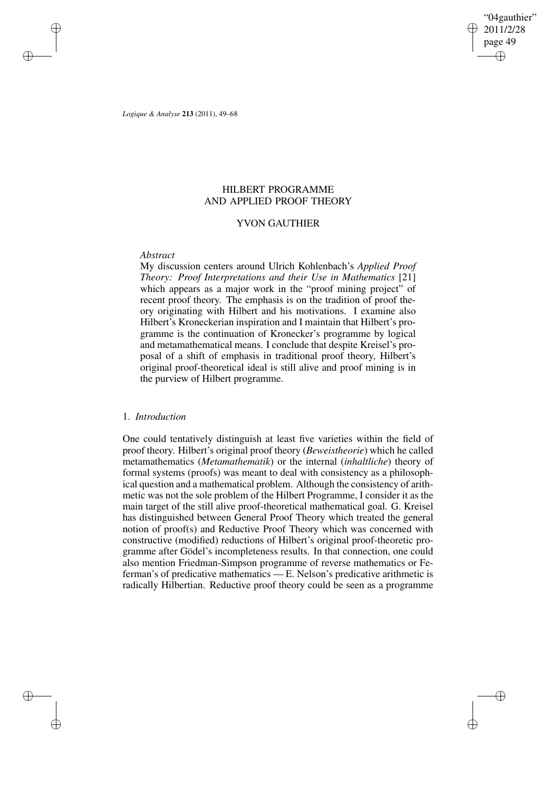"04gauthier" 2011/2/28 page 49 ✐ ✐

✐

✐

*Logique & Analyse* **213** (2011), 49–68

✐

✐

✐

✐

## HILBERT PROGRAMME AND APPLIED PROOF THEORY

## YVON GAUTHIER

## *Abstract*

My discussion centers around Ulrich Kohlenbach's *Applied Proof Theory: Proof Interpretations and their Use in Mathematics* [21] which appears as a major work in the "proof mining project" of recent proof theory. The emphasis is on the tradition of proof theory originating with Hilbert and his motivations. I examine also Hilbert's Kroneckerian inspiration and I maintain that Hilbert's programme is the continuation of Kronecker's programme by logical and metamathematical means. I conclude that despite Kreisel's proposal of a shift of emphasis in traditional proof theory, Hilbert's original proof-theoretical ideal is still alive and proof mining is in the purview of Hilbert programme.

## 1. *Introduction*

One could tentatively distinguish at least five varieties within the field of proof theory. Hilbert's original proof theory (*Beweistheorie*) which he called metamathematics (*Metamathematik*) or the internal (*inhaltliche*) theory of formal systems (proofs) was meant to deal with consistency as a philosophical question and a mathematical problem. Although the consistency of arithmetic was not the sole problem of the Hilbert Programme, I consider it as the main target of the still alive proof-theoretical mathematical goal. G. Kreisel has distinguished between General Proof Theory which treated the general notion of proof(s) and Reductive Proof Theory which was concerned with constructive (modified) reductions of Hilbert's original proof-theoretic programme after Gödel's incompleteness results. In that connection, one could also mention Friedman-Simpson programme of reverse mathematics or Feferman's of predicative mathematics — E. Nelson's predicative arithmetic is radically Hilbertian. Reductive proof theory could be seen as a programme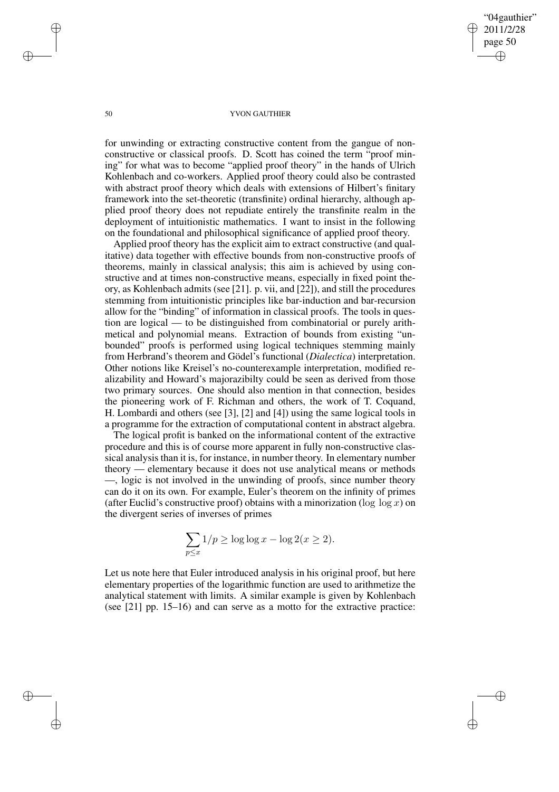"04gauthier" 2011/2/28 page 50 ✐ ✐

✐

✐

#### 50 YVON GAUTHIER

for unwinding or extracting constructive content from the gangue of nonconstructive or classical proofs. D. Scott has coined the term "proof mining" for what was to become "applied proof theory" in the hands of Ulrich Kohlenbach and co-workers. Applied proof theory could also be contrasted with abstract proof theory which deals with extensions of Hilbert's finitary framework into the set-theoretic (transfinite) ordinal hierarchy, although applied proof theory does not repudiate entirely the transfinite realm in the deployment of intuitionistic mathematics. I want to insist in the following on the foundational and philosophical significance of applied proof theory.

Applied proof theory has the explicit aim to extract constructive (and qualitative) data together with effective bounds from non-constructive proofs of theorems, mainly in classical analysis; this aim is achieved by using constructive and at times non-constructive means, especially in fixed point theory, as Kohlenbach admits (see [21]. p. vii, and [22]), and still the procedures stemming from intuitionistic principles like bar-induction and bar-recursion allow for the "binding" of information in classical proofs. The tools in question are logical — to be distinguished from combinatorial or purely arithmetical and polynomial means. Extraction of bounds from existing "unbounded" proofs is performed using logical techniques stemming mainly from Herbrand's theorem and Gödel's functional (*Dialectica*) interpretation. Other notions like Kreisel's no-counterexample interpretation, modified realizability and Howard's majorazibilty could be seen as derived from those two primary sources. One should also mention in that connection, besides the pioneering work of F. Richman and others, the work of T. Coquand, H. Lombardi and others (see [3], [2] and [4]) using the same logical tools in a programme for the extraction of computational content in abstract algebra.

The logical profit is banked on the informational content of the extractive procedure and this is of course more apparent in fully non-constructive classical analysis than it is, for instance, in number theory. In elementary number theory — elementary because it does not use analytical means or methods —, logic is not involved in the unwinding of proofs, since number theory can do it on its own. For example, Euler's theorem on the infinity of primes (after Euclid's constructive proof) obtains with a minorization (log  $log x$ ) on the divergent series of inverses of primes

$$
\sum_{p \le x} 1/p \ge \log \log x - \log 2(x \ge 2).
$$

Let us note here that Euler introduced analysis in his original proof, but here elementary properties of the logarithmic function are used to arithmetize the analytical statement with limits. A similar example is given by Kohlenbach (see [21] pp. 15–16) and can serve as a motto for the extractive practice:

✐

✐

✐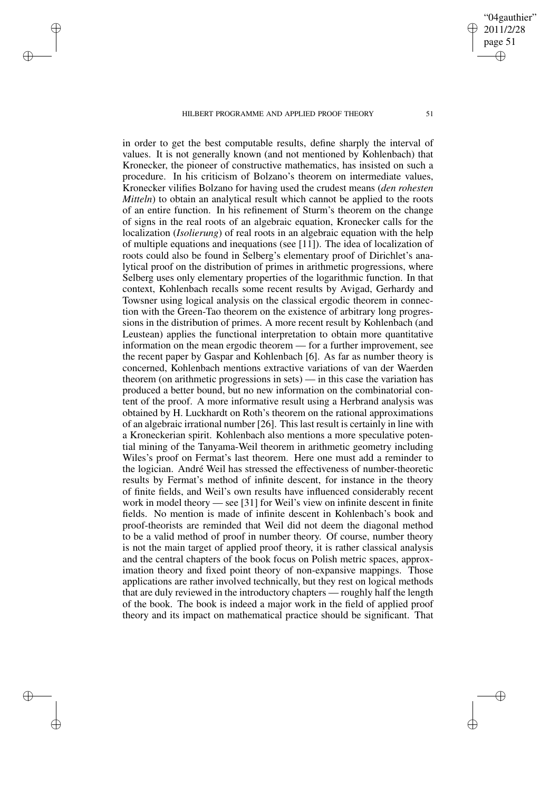#### HILBERT PROGRAMME AND APPLIED PROOF THEORY 51

✐

✐

✐

✐

in order to get the best computable results, define sharply the interval of values. It is not generally known (and not mentioned by Kohlenbach) that Kronecker, the pioneer of constructive mathematics, has insisted on such a procedure. In his criticism of Bolzano's theorem on intermediate values, Kronecker vilifies Bolzano for having used the crudest means (*den rohesten Mitteln*) to obtain an analytical result which cannot be applied to the roots of an entire function. In his refinement of Sturm's theorem on the change of signs in the real roots of an algebraic equation, Kronecker calls for the localization (*Isolierung*) of real roots in an algebraic equation with the help of multiple equations and inequations (see [11]). The idea of localization of roots could also be found in Selberg's elementary proof of Dirichlet's analytical proof on the distribution of primes in arithmetic progressions, where Selberg uses only elementary properties of the logarithmic function. In that context, Kohlenbach recalls some recent results by Avigad, Gerhardy and Towsner using logical analysis on the classical ergodic theorem in connection with the Green-Tao theorem on the existence of arbitrary long progressions in the distribution of primes. A more recent result by Kohlenbach (and Leustean) applies the functional interpretation to obtain more quantitative information on the mean ergodic theorem — for a further improvement, see the recent paper by Gaspar and Kohlenbach [6]. As far as number theory is concerned, Kohlenbach mentions extractive variations of van der Waerden theorem (on arithmetic progressions in sets) — in this case the variation has produced a better bound, but no new information on the combinatorial content of the proof. A more informative result using a Herbrand analysis was obtained by H. Luckhardt on Roth's theorem on the rational approximations of an algebraic irrational number [26]. This last result is certainly in line with a Kroneckerian spirit. Kohlenbach also mentions a more speculative potential mining of the Tanyama-Weil theorem in arithmetic geometry including Wiles's proof on Fermat's last theorem. Here one must add a reminder to the logician. André Weil has stressed the effectiveness of number-theoretic results by Fermat's method of infinite descent, for instance in the theory of finite fields, and Weil's own results have influenced considerably recent work in model theory — see [31] for Weil's view on infinite descent in finite fields. No mention is made of infinite descent in Kohlenbach's book and proof-theorists are reminded that Weil did not deem the diagonal method to be a valid method of proof in number theory. Of course, number theory is not the main target of applied proof theory, it is rather classical analysis and the central chapters of the book focus on Polish metric spaces, approximation theory and fixed point theory of non-expansive mappings. Those applications are rather involved technically, but they rest on logical methods that are duly reviewed in the introductory chapters — roughly half the length of the book. The book is indeed a major work in the field of applied proof theory and its impact on mathematical practice should be significant. That

"04gauthier" 2011/2/28 page 51

✐

✐

✐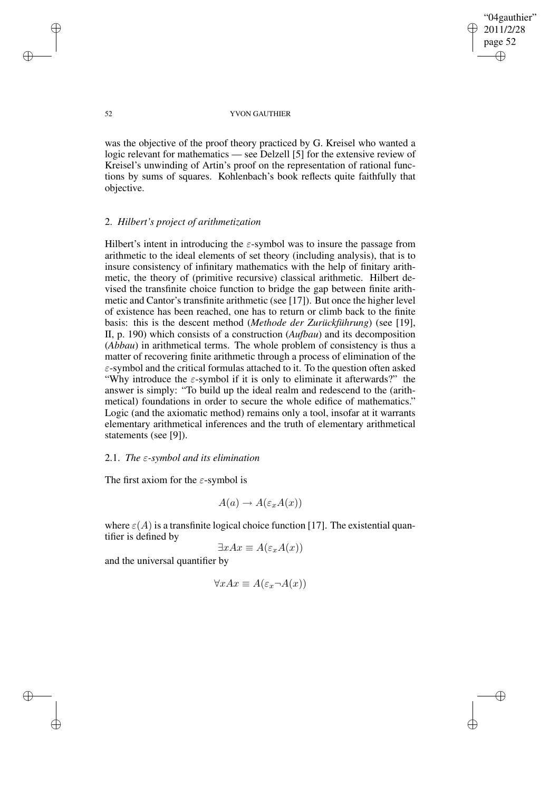✐

### 52 YVON GAUTHIER

was the objective of the proof theory practiced by G. Kreisel who wanted a logic relevant for mathematics — see Delzell [5] for the extensive review of Kreisel's unwinding of Artin's proof on the representation of rational functions by sums of squares. Kohlenbach's book reflects quite faithfully that objective.

## 2. *Hilbert's project of arithmetization*

Hilbert's intent in introducing the  $\varepsilon$ -symbol was to insure the passage from arithmetic to the ideal elements of set theory (including analysis), that is to insure consistency of infinitary mathematics with the help of finitary arithmetic, the theory of (primitive recursive) classical arithmetic. Hilbert devised the transfinite choice function to bridge the gap between finite arithmetic and Cantor's transfinite arithmetic (see [17]). But once the higher level of existence has been reached, one has to return or climb back to the finite basis: this is the descent method (*Methode der Zurückführung*) (see [19], II, p. 190) which consists of a construction (*Aufbau*) and its decomposition (*Abbau*) in arithmetical terms. The whole problem of consistency is thus a matter of recovering finite arithmetic through a process of elimination of the  $\varepsilon$ -symbol and the critical formulas attached to it. To the question often asked "Why introduce the  $\varepsilon$ -symbol if it is only to eliminate it afterwards?" the answer is simply: "To build up the ideal realm and redescend to the (arithmetical) foundations in order to secure the whole edifice of mathematics." Logic (and the axiomatic method) remains only a tool, insofar at it warrants elementary arithmetical inferences and the truth of elementary arithmetical statements (see [9]).

## 2.1. *The* ε*-symbol and its elimination*

The first axiom for the  $\varepsilon$ -symbol is

$$
A(a) \to A(\varepsilon_x A(x))
$$

where  $\varepsilon(A)$  is a transfinite logical choice function [17]. The existential quantifier is defined by

$$
\exists x Ax \equiv A(\varepsilon_x A(x))
$$

and the universal quantifier by

$$
\forall x Ax \equiv A(\varepsilon_x \neg A(x))
$$

✐

✐

✐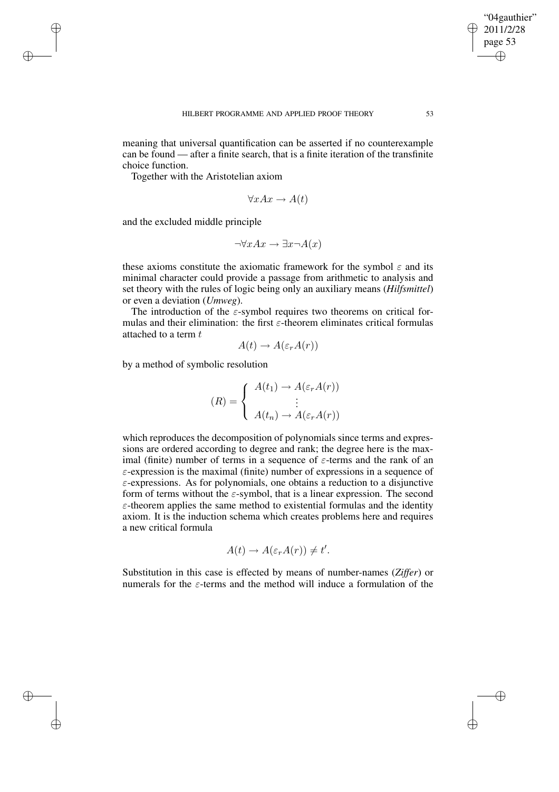meaning that universal quantification can be asserted if no counterexample can be found — after a finite search, that is a finite iteration of the transfinite choice function.

Together with the Aristotelian axiom

$$
\forall x Ax \to A(t)
$$

and the excluded middle principle

✐

✐

✐

✐

$$
\neg \forall x Ax \to \exists x \neg A(x)
$$

these axioms constitute the axiomatic framework for the symbol  $\varepsilon$  and its minimal character could provide a passage from arithmetic to analysis and set theory with the rules of logic being only an auxiliary means (*Hilfsmittel*) or even a deviation (*Umweg*).

The introduction of the  $\varepsilon$ -symbol requires two theorems on critical formulas and their elimination: the first  $\varepsilon$ -theorem eliminates critical formulas attached to a term  $t$ 

$$
A(t) \to A(\varepsilon_r A(r))
$$

by a method of symbolic resolution

$$
(R) = \begin{cases} A(t_1) \to A(\varepsilon_r A(r)) \\ \vdots \\ A(t_n) \to A(\varepsilon_r A(r)) \end{cases}
$$

which reproduces the decomposition of polynomials since terms and expressions are ordered according to degree and rank; the degree here is the maximal (finite) number of terms in a sequence of  $\varepsilon$ -terms and the rank of an  $\varepsilon$ -expression is the maximal (finite) number of expressions in a sequence of  $\varepsilon$ -expressions. As for polynomials, one obtains a reduction to a disjunctive form of terms without the  $\varepsilon$ -symbol, that is a linear expression. The second  $\varepsilon$ -theorem applies the same method to existential formulas and the identity axiom. It is the induction schema which creates problems here and requires a new critical formula

$$
A(t) \to A(\varepsilon_r A(r)) \neq t'.
$$

Substitution in this case is effected by means of number-names (*Ziffer*) or numerals for the  $\varepsilon$ -terms and the method will induce a formulation of the

"04gauthier" 2011/2/28 page 53

✐

✐

✐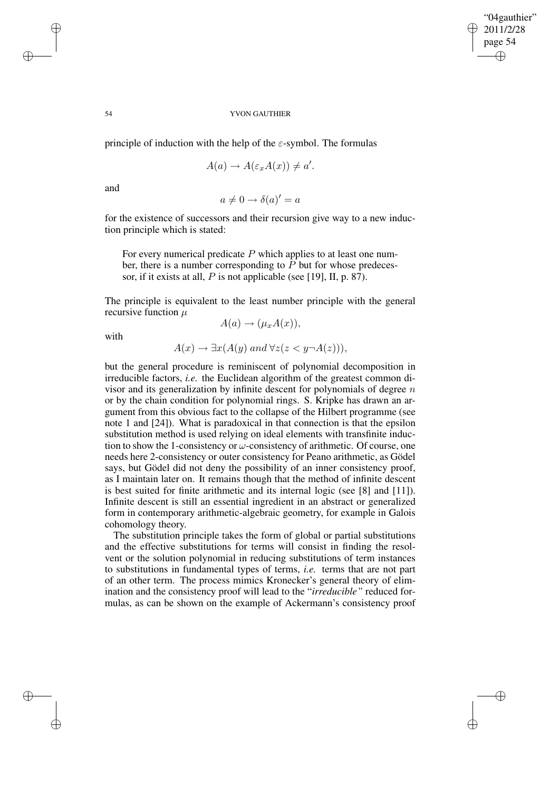✐

#### 54 YVON GAUTHIER

principle of induction with the help of the  $\varepsilon$ -symbol. The formulas

$$
A(a) \to A(\varepsilon_x A(x)) \neq a'.
$$

and

✐

✐

✐

✐

$$
a \neq 0 \to \delta(a)' = a
$$

for the existence of successors and their recursion give way to a new induction principle which is stated:

For every numerical predicate  $P$  which applies to at least one number, there is a number corresponding to  $P$  but for whose predecessor, if it exists at all, P is not applicable (see [19], II, p. 87).

The principle is equivalent to the least number principle with the general recursive function  $\mu$ 

$$
A(a) \to (\mu_x A(x)),
$$

with

$$
A(x) \to \exists x (A(y) \text{ and } \forall z (z < y \neg A(z))),
$$

but the general procedure is reminiscent of polynomial decomposition in irreducible factors, *i.e.* the Euclidean algorithm of the greatest common divisor and its generalization by infinite descent for polynomials of degree  $n$ or by the chain condition for polynomial rings. S. Kripke has drawn an argument from this obvious fact to the collapse of the Hilbert programme (see note 1 and [24]). What is paradoxical in that connection is that the epsilon substitution method is used relying on ideal elements with transfinite induction to show the 1-consistency or  $\omega$ -consistency of arithmetic. Of course, one needs here 2-consistency or outer consistency for Peano arithmetic, as Gödel says, but Gödel did not deny the possibility of an inner consistency proof, as I maintain later on. It remains though that the method of infinite descent is best suited for finite arithmetic and its internal logic (see [8] and [11]). Infinite descent is still an essential ingredient in an abstract or generalized form in contemporary arithmetic-algebraic geometry, for example in Galois cohomology theory.

The substitution principle takes the form of global or partial substitutions and the effective substitutions for terms will consist in finding the resolvent or the solution polynomial in reducing substitutions of term instances to substitutions in fundamental types of terms, *i.e.* terms that are not part of an other term. The process mimics Kronecker's general theory of elimination and the consistency proof will lead to the "*irreducible"* reduced formulas, as can be shown on the example of Ackermann's consistency proof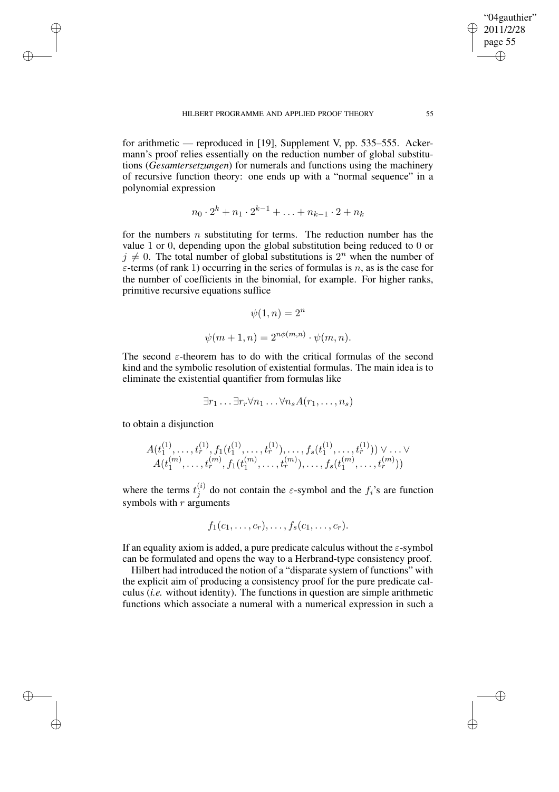for arithmetic — reproduced in [19], Supplement V, pp. 535–555. Ackermann's proof relies essentially on the reduction number of global substitutions (*Gesamtersetzungen*) for numerals and functions using the machinery of recursive function theory: one ends up with a "normal sequence" in a polynomial expression

$$
n_0 \cdot 2^k + n_1 \cdot 2^{k-1} + \ldots + n_{k-1} \cdot 2 + n_k
$$

for the numbers  $n$  substituting for terms. The reduction number has the value 1 or 0, depending upon the global substitution being reduced to 0 or  $j \neq 0$ . The total number of global substitutions is  $2^n$  when the number of  $\varepsilon$ -terms (of rank 1) occurring in the series of formulas is n, as is the case for the number of coefficients in the binomial, for example. For higher ranks, primitive recursive equations suffice

$$
\psi(1, n) = 2^n
$$
  

$$
\psi(m+1, n) = 2^{n\phi(m,n)} \cdot \psi(m, n).
$$

The second  $\varepsilon$ -theorem has to do with the critical formulas of the second kind and the symbolic resolution of existential formulas. The main idea is to eliminate the existential quantifier from formulas like

$$
\exists r_1 \ldots \exists r_r \forall n_1 \ldots \forall n_s A(r_1, \ldots, n_s)
$$

to obtain a disjunction

✐

✐

✐

✐

$$
\begin{array}{c}\nA(t_1^{(1)},\ldots,t_r^{(1)},f_1(t_1^{(1)},\ldots,t_r^{(1)}),\ldots,f_s(t_1^{(1)},\ldots,t_r^{(1)})) \vee \ldots \vee \\
A(t_1^{(m)},\ldots,t_r^{(m)},f_1(t_1^{(m)},\ldots,t_r^{(m)}),\ldots,f_s(t_1^{(m)},\ldots,t_r^{(m)}))\n\end{array}
$$

where the terms  $t_i^{(i)}$  $j^{(i)}$  do not contain the *ε*-symbol and the  $f_i$ 's are function symbols with  $r$  arguments

$$
f_1(c_1,\ldots,c_r),\ldots,f_s(c_1,\ldots,c_r).
$$

If an equality axiom is added, a pure predicate calculus without the  $\varepsilon$ -symbol can be formulated and opens the way to a Herbrand-type consistency proof.

Hilbert had introduced the notion of a "disparate system of functions" with the explicit aim of producing a consistency proof for the pure predicate calculus (*i.e.* without identity). The functions in question are simple arithmetic functions which associate a numeral with a numerical expression in such a

"04gauthier" 2011/2/28 page 55

✐

✐

✐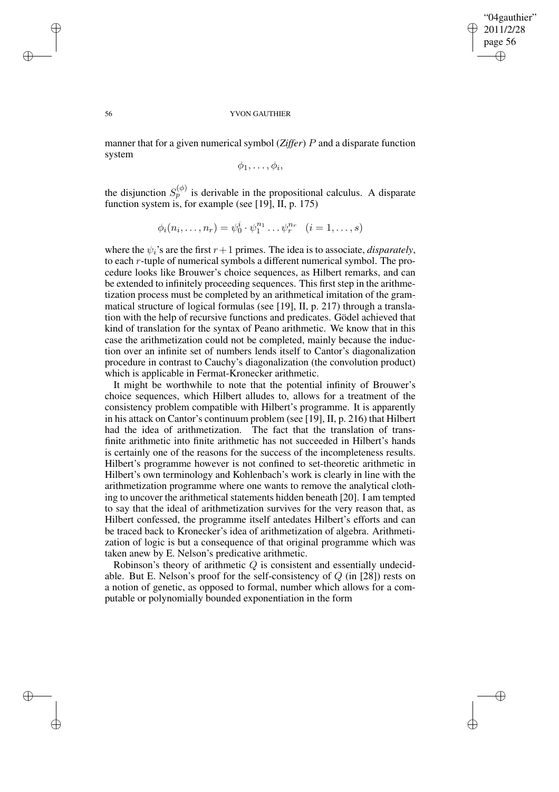✐

#### 56 YVON GAUTHIER

manner that for a given numerical symbol (*Ziffer*) P and a disparate function system

 $\phi_1,\ldots,\phi_i,$ 

the disjunction  $S_p^{(\phi)}$  is derivable in the propositional calculus. A disparate function system is, for example (see [19], II, p. 175)

$$
\phi_i(n_i, ..., n_r) = \psi_0^i \cdot \psi_1^{n_1} ... \psi_r^{n_r} \quad (i = 1, ..., s)
$$

where the  $\psi_i$ 's are the first  $r+1$  primes. The idea is to associate, *disparately*, to each r-tuple of numerical symbols a different numerical symbol. The procedure looks like Brouwer's choice sequences, as Hilbert remarks, and can be extended to infinitely proceeding sequences. This first step in the arithmetization process must be completed by an arithmetical imitation of the grammatical structure of logical formulas (see [19], II, p. 217) through a translation with the help of recursive functions and predicates. Gödel achieved that kind of translation for the syntax of Peano arithmetic. We know that in this case the arithmetization could not be completed, mainly because the induction over an infinite set of numbers lends itself to Cantor's diagonalization procedure in contrast to Cauchy's diagonalization (the convolution product) which is applicable in Fermat-Kronecker arithmetic.

It might be worthwhile to note that the potential infinity of Brouwer's choice sequences, which Hilbert alludes to, allows for a treatment of the consistency problem compatible with Hilbert's programme. It is apparently in his attack on Cantor's continuum problem (see [19], II, p. 216) that Hilbert had the idea of arithmetization. The fact that the translation of transfinite arithmetic into finite arithmetic has not succeeded in Hilbert's hands is certainly one of the reasons for the success of the incompleteness results. Hilbert's programme however is not confined to set-theoretic arithmetic in Hilbert's own terminology and Kohlenbach's work is clearly in line with the arithmetization programme where one wants to remove the analytical clothing to uncover the arithmetical statements hidden beneath [20]. I am tempted to say that the ideal of arithmetization survives for the very reason that, as Hilbert confessed, the programme itself antedates Hilbert's efforts and can be traced back to Kronecker's idea of arithmetization of algebra. Arithmetization of logic is but a consequence of that original programme which was taken anew by E. Nelson's predicative arithmetic.

Robinson's theory of arithmetic  $Q$  is consistent and essentially undecidable. But E. Nelson's proof for the self-consistency of  $Q$  (in [28]) rests on a notion of genetic, as opposed to formal, number which allows for a computable or polynomially bounded exponentiation in the form

✐

✐

✐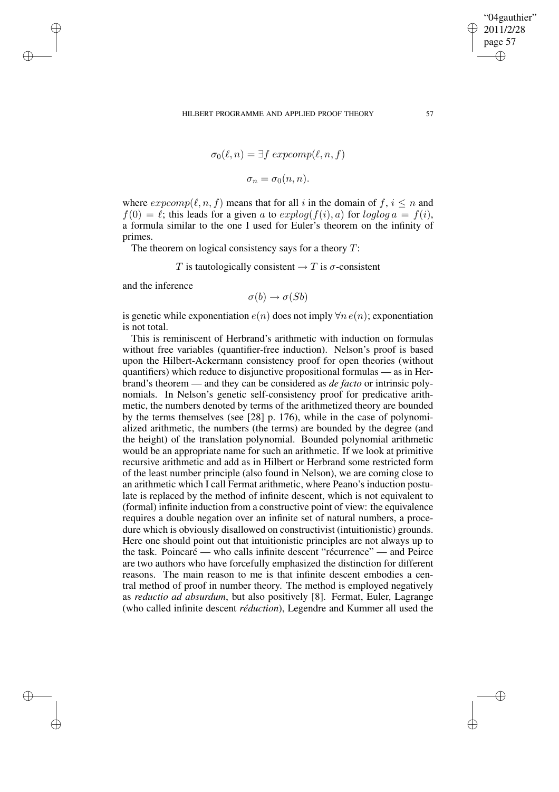$$
\sigma_0(\ell,n) = \exists f \; exponent(\ell,n,f)
$$

$$
\sigma_n=\sigma_0(n,n).
$$

where  $expcomp(\ell, n, f)$  means that for all i in the domain of  $f, i \leq n$  and  $f(0) = \ell$ ; this leads for a given a to  $explog(f(i), a)$  for  $loglog a = f(i)$ , a formula similar to the one I used for Euler's theorem on the infinity of primes.

The theorem on logical consistency says for a theory  $T$ :

T is tautologically consistent  $\rightarrow T$  is  $\sigma$ -consistent

and the inference

✐

✐

✐

✐

 $\sigma(b) \rightarrow \sigma(Sb)$ 

is genetic while exponentiation  $e(n)$  does not imply  $\forall n \, e(n)$ ; exponentiation is not total.

This is reminiscent of Herbrand's arithmetic with induction on formulas without free variables (quantifier-free induction). Nelson's proof is based upon the Hilbert-Ackermann consistency proof for open theories (without quantifiers) which reduce to disjunctive propositional formulas — as in Herbrand's theorem — and they can be considered as *de facto* or intrinsic polynomials. In Nelson's genetic self-consistency proof for predicative arithmetic, the numbers denoted by terms of the arithmetized theory are bounded by the terms themselves (see [28] p. 176), while in the case of polynomialized arithmetic, the numbers (the terms) are bounded by the degree (and the height) of the translation polynomial. Bounded polynomial arithmetic would be an appropriate name for such an arithmetic. If we look at primitive recursive arithmetic and add as in Hilbert or Herbrand some restricted form of the least number principle (also found in Nelson), we are coming close to an arithmetic which I call Fermat arithmetic, where Peano's induction postulate is replaced by the method of infinite descent, which is not equivalent to (formal) infinite induction from a constructive point of view: the equivalence requires a double negation over an infinite set of natural numbers, a procedure which is obviously disallowed on constructivist (intuitionistic) grounds. Here one should point out that intuitionistic principles are not always up to the task. Poincaré — who calls infinite descent "récurrence" — and Peirce are two authors who have forcefully emphasized the distinction for different reasons. The main reason to me is that infinite descent embodies a central method of proof in number theory. The method is employed negatively as *reductio ad absurdum*, but also positively [8]. Fermat, Euler, Lagrange (who called infinite descent *réduction*), Legendre and Kummer all used the

"04gauthier" 2011/2/28 page 57

✐

✐

✐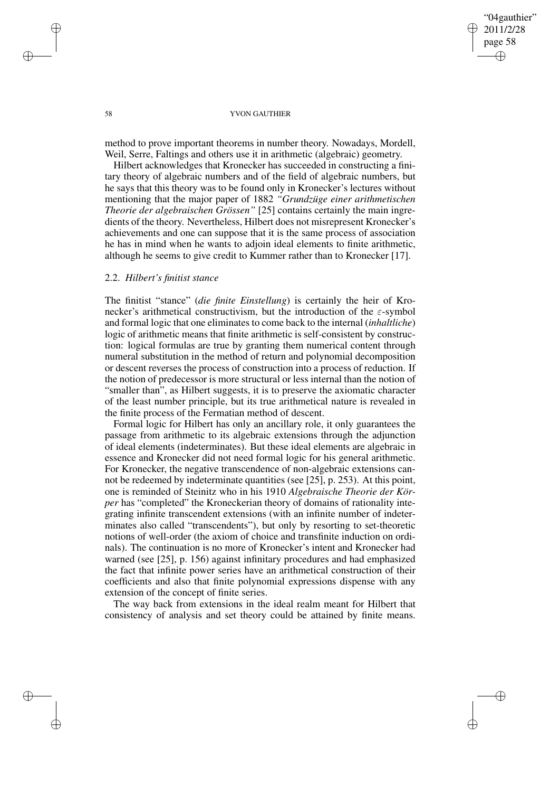✐

#### 58 YVON GAUTHIER

method to prove important theorems in number theory. Nowadays, Mordell, Weil, Serre, Faltings and others use it in arithmetic (algebraic) geometry.

Hilbert acknowledges that Kronecker has succeeded in constructing a finitary theory of algebraic numbers and of the field of algebraic numbers, but he says that this theory was to be found only in Kronecker's lectures without mentioning that the major paper of 1882 *"Grundzüge einer arithmetischen Theorie der algebraischen Grössen"* [25] contains certainly the main ingredients of the theory. Nevertheless, Hilbert does not misrepresent Kronecker's achievements and one can suppose that it is the same process of association he has in mind when he wants to adjoin ideal elements to finite arithmetic, although he seems to give credit to Kummer rather than to Kronecker [17].

## 2.2. *Hilbert's finitist stance*

The finitist "stance" (*die finite Einstellung*) is certainly the heir of Kronecker's arithmetical constructivism, but the introduction of the  $\varepsilon$ -symbol and formal logic that one eliminates to come back to the internal (*inhaltliche*) logic of arithmetic means that finite arithmetic is self-consistent by construction: logical formulas are true by granting them numerical content through numeral substitution in the method of return and polynomial decomposition or descent reverses the process of construction into a process of reduction. If the notion of predecessor is more structural or less internal than the notion of "smaller than", as Hilbert suggests, it is to preserve the axiomatic character of the least number principle, but its true arithmetical nature is revealed in the finite process of the Fermatian method of descent.

Formal logic for Hilbert has only an ancillary role, it only guarantees the passage from arithmetic to its algebraic extensions through the adjunction of ideal elements (indeterminates). But these ideal elements are algebraic in essence and Kronecker did not need formal logic for his general arithmetic. For Kronecker, the negative transcendence of non-algebraic extensions cannot be redeemed by indeterminate quantities (see [25], p. 253). At this point, one is reminded of Steinitz who in his 1910 *Algebraische Theorie der Körper* has "completed" the Kroneckerian theory of domains of rationality integrating infinite transcendent extensions (with an infinite number of indeterminates also called "transcendents"), but only by resorting to set-theoretic notions of well-order (the axiom of choice and transfinite induction on ordinals). The continuation is no more of Kronecker's intent and Kronecker had warned (see [25], p. 156) against infinitary procedures and had emphasized the fact that infinite power series have an arithmetical construction of their coefficients and also that finite polynomial expressions dispense with any extension of the concept of finite series.

The way back from extensions in the ideal realm meant for Hilbert that consistency of analysis and set theory could be attained by finite means.

✐

✐

✐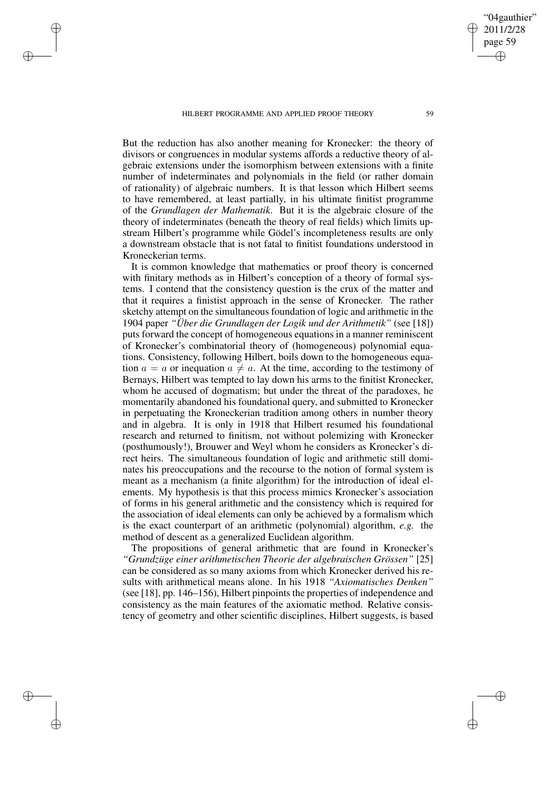HILBERT PROGRAMME AND APPLIED PROOF THEORY 59

✐

✐

✐

✐

But the reduction has also another meaning for Kronecker: the theory of divisors or congruences in modular systems affords a reductive theory of algebraic extensions under the isomorphism between extensions with a finite number of indeterminates and polynomials in the field (or rather domain of rationality) of algebraic numbers. It is that lesson which Hilbert seems to have remembered, at least partially, in his ultimate finitist programme of the *Grundlagen der Mathematik*. But it is the algebraic closure of the theory of indeterminates (beneath the theory of real fields) which limits upstream Hilbert's programme while Gödel's incompleteness results are only a downstream obstacle that is not fatal to finitist foundations understood in Kroneckerian terms.

It is common knowledge that mathematics or proof theory is concerned with finitary methods as in Hilbert's conception of a theory of formal systems. I contend that the consistency question is the crux of the matter and that it requires a finistist approach in the sense of Kronecker. The rather sketchy attempt on the simultaneous foundation of logic and arithmetic in the 1904 paper *"Über die Grundlagen der Logik und der Arithmetik"* (see [18]) puts forward the concept of homogeneous equations in a manner reminiscent of Kronecker's combinatorial theory of (homogeneous) polynomial equations. Consistency, following Hilbert, boils down to the homogeneous equation  $a = a$  or inequation  $a \neq a$ . At the time, according to the testimony of Bernays, Hilbert was tempted to lay down his arms to the finitist Kronecker, whom he accused of dogmatism; but under the threat of the paradoxes, he momentarily abandoned his foundational query, and submitted to Kronecker in perpetuating the Kroneckerian tradition among others in number theory and in algebra. It is only in 1918 that Hilbert resumed his foundational research and returned to finitism, not without polemizing with Kronecker (posthumously!), Brouwer and Weyl whom he considers as Kronecker's direct heirs. The simultaneous foundation of logic and arithmetic still dominates his preoccupations and the recourse to the notion of formal system is meant as a mechanism (a finite algorithm) for the introduction of ideal elements. My hypothesis is that this process mimics Kronecker's association of forms in his general arithmetic and the consistency which is required for the association of ideal elements can only be achieved by a formalism which is the exact counterpart of an arithmetic (polynomial) algorithm, *e.g.* the method of descent as a generalized Euclidean algorithm.

The propositions of general arithmetic that are found in Kronecker's *"Grundzüge einer arithmetischen Theorie der algebraischen Grössen"* [25] can be considered as so many axioms from which Kronecker derived his results with arithmetical means alone. In his 1918 *"Axiomatisches Denken"* (see  $[18]$ , pp. 146–156), Hilbert pinpoints the properties of independence and consistency as the main features of the axiomatic method. Relative consistency of geometry and other scientific disciplines, Hilbert suggests, is based

"04gauthier" 2011/2/28 page 59

✐

✐

✐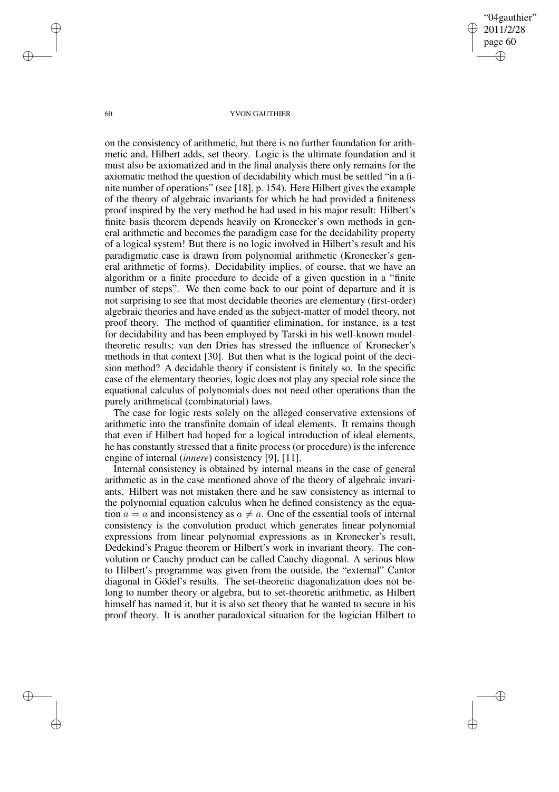"04gauthier" 2011/2/28 page 60 ✐ ✐

✐

✐

#### 60 YVON GAUTHIER

on the consistency of arithmetic, but there is no further foundation for arithmetic and, Hilbert adds, set theory. Logic is the ultimate foundation and it must also be axiomatized and in the final analysis there only remains for the axiomatic method the question of decidability which must be settled "in a finite number of operations" (see [18], p. 154). Here Hilbert gives the example of the theory of algebraic invariants for which he had provided a finiteness proof inspired by the very method he had used in his major result: Hilbert's finite basis theorem depends heavily on Kronecker's own methods in general arithmetic and becomes the paradigm case for the decidability property of a logical system! But there is no logic involved in Hilbert's result and his paradigmatic case is drawn from polynomial arithmetic (Kronecker's general arithmetic of forms). Decidability implies, of course, that we have an algorithm or a finite procedure to decide of a given question in a "finite number of steps". We then come back to our point of departure and it is not surprising to see that most decidable theories are elementary (first-order) algebraic theories and have ended as the subject-matter of model theory, not proof theory. The method of quantifier elimination, for instance, is a test for decidability and has been employed by Tarski in his well-known modeltheoretic results; van den Dries has stressed the influence of Kronecker's methods in that context [30]. But then what is the logical point of the decision method? A decidable theory if consistent is finitely so. In the specific case of the elementary theories, logic does not play any special role since the equational calculus of polynomials does not need other operations than the purely arithmetical (combinatorial) laws.

The case for logic rests solely on the alleged conservative extensions of arithmetic into the transfinite domain of ideal elements. It remains though that even if Hilbert had hoped for a logical introduction of ideal elements, he has constantly stressed that a finite process (or procedure) is the inference engine of internal (*innere*) consistency [9], [11].

Internal consistency is obtained by internal means in the case of general arithmetic as in the case mentioned above of the theory of algebraic invariants. Hilbert was not mistaken there and he saw consistency as internal to the polynomial equation calculus when he defined consistency as the equation  $a = a$  and inconsistency as  $a \neq a$ . One of the essential tools of internal consistency is the convolution product which generates linear polynomial expressions from linear polynomial expressions as in Kronecker's result, Dedekind's Prague theorem or Hilbert's work in invariant theory. The convolution or Cauchy product can be called Cauchy diagonal. A serious blow to Hilbert's programme was given from the outside, the "external" Cantor diagonal in Gödel's results. The set-theoretic diagonalization does not belong to number theory or algebra, but to set-theoretic arithmetic, as Hilbert himself has named it, but it is also set theory that he wanted to secure in his proof theory. It is another paradoxical situation for the logician Hilbert to

✐

✐

✐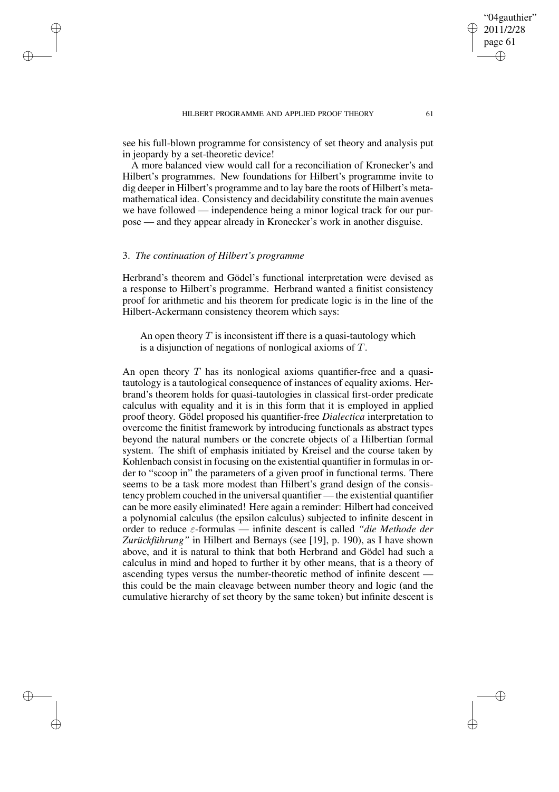see his full-blown programme for consistency of set theory and analysis put in jeopardy by a set-theoretic device!

A more balanced view would call for a reconciliation of Kronecker's and Hilbert's programmes. New foundations for Hilbert's programme invite to dig deeper in Hilbert's programme and to lay bare the roots of Hilbert's metamathematical idea. Consistency and decidability constitute the main avenues we have followed — independence being a minor logical track for our purpose — and they appear already in Kronecker's work in another disguise.

## 3. *The continuation of Hilbert's programme*

✐

✐

✐

✐

Herbrand's theorem and Gödel's functional interpretation were devised as a response to Hilbert's programme. Herbrand wanted a finitist consistency proof for arithmetic and his theorem for predicate logic is in the line of the Hilbert-Ackermann consistency theorem which says:

An open theory  $T$  is inconsistent iff there is a quasi-tautology which is a disjunction of negations of nonlogical axioms of T.

An open theory  $T$  has its nonlogical axioms quantifier-free and a quasitautology is a tautological consequence of instances of equality axioms. Herbrand's theorem holds for quasi-tautologies in classical first-order predicate calculus with equality and it is in this form that it is employed in applied proof theory. Gödel proposed his quantifier-free *Dialectica* interpretation to overcome the finitist framework by introducing functionals as abstract types beyond the natural numbers or the concrete objects of a Hilbertian formal system. The shift of emphasis initiated by Kreisel and the course taken by Kohlenbach consist in focusing on the existential quantifier in formulas in order to "scoop in" the parameters of a given proof in functional terms. There seems to be a task more modest than Hilbert's grand design of the consistency problem couched in the universal quantifier — the existential quantifier can be more easily eliminated! Here again a reminder: Hilbert had conceived a polynomial calculus (the epsilon calculus) subjected to infinite descent in order to reduce ε-formulas — infinite descent is called *"die Methode der Zurückführung"* in Hilbert and Bernays (see [19], p. 190), as I have shown above, and it is natural to think that both Herbrand and Gödel had such a calculus in mind and hoped to further it by other means, that is a theory of ascending types versus the number-theoretic method of infinite descent this could be the main cleavage between number theory and logic (and the cumulative hierarchy of set theory by the same token) but infinite descent is

"04gauthier" 2011/2/28 page 61

✐

✐

✐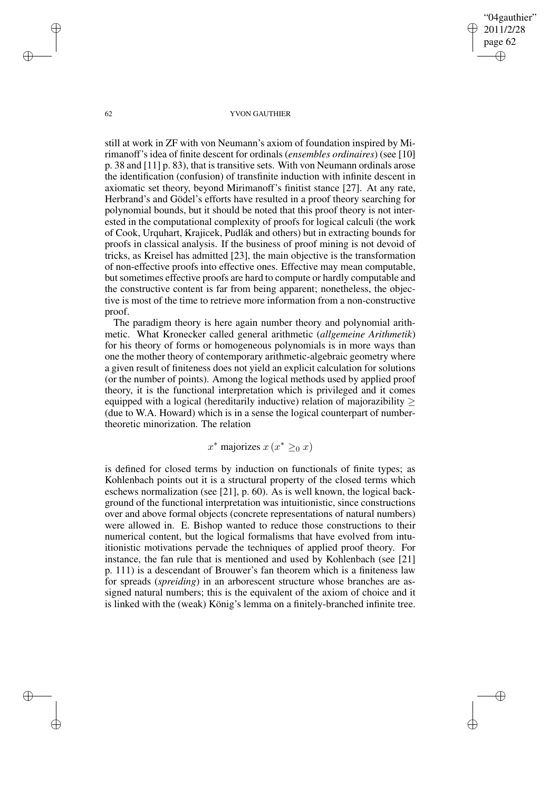"04gauthier" 2011/2/28 page 62 ✐ ✐

✐

✐

#### 62 YVON GAUTHIER

still at work in ZF with von Neumann's axiom of foundation inspired by Mirimanoff's idea of finite descent for ordinals (*ensembles ordinaires*) (see [10] p. 38 and [11] p. 83), that is transitive sets. With von Neumann ordinals arose the identification (confusion) of transfinite induction with infinite descent in axiomatic set theory, beyond Mirimanoff's finitist stance [27]. At any rate, Herbrand's and Gödel's efforts have resulted in a proof theory searching for polynomial bounds, but it should be noted that this proof theory is not interested in the computational complexity of proofs for logical calculi (the work of Cook, Urquhart, Krajicek, Pudlák and others) but in extracting bounds for proofs in classical analysis. If the business of proof mining is not devoid of tricks, as Kreisel has admitted [23], the main objective is the transformation of non-effective proofs into effective ones. Effective may mean computable, but sometimes effective proofs are hard to compute or hardly computable and the constructive content is far from being apparent; nonetheless, the objective is most of the time to retrieve more information from a non-constructive proof.

The paradigm theory is here again number theory and polynomial arithmetic. What Kronecker called general arithmetic (*allgemeine Arithmetik*) for his theory of forms or homogeneous polynomials is in more ways than one the mother theory of contemporary arithmetic-algebraic geometry where a given result of finiteness does not yield an explicit calculation for solutions (or the number of points). Among the logical methods used by applied proof theory, it is the functional interpretation which is privileged and it comes equipped with a logical (hereditarily inductive) relation of majorazibility  $\geq$ (due to W.A. Howard) which is in a sense the logical counterpart of numbertheoretic minorization. The relation

# $x^*$  majorizes  $x(x^* \geq_0 x)$

is defined for closed terms by induction on functionals of finite types; as Kohlenbach points out it is a structural property of the closed terms which eschews normalization (see [21], p. 60). As is well known, the logical background of the functional interpretation was intuitionistic, since constructions over and above formal objects (concrete representations of natural numbers) were allowed in. E. Bishop wanted to reduce those constructions to their numerical content, but the logical formalisms that have evolved from intuitionistic motivations pervade the techniques of applied proof theory. For instance, the fan rule that is mentioned and used by Kohlenbach (see [21] p. 111) is a descendant of Brouwer's fan theorem which is a finiteness law for spreads (*spreiding*) in an arborescent structure whose branches are assigned natural numbers; this is the equivalent of the axiom of choice and it is linked with the (weak) König's lemma on a finitely-branched infinite tree.

✐

✐

✐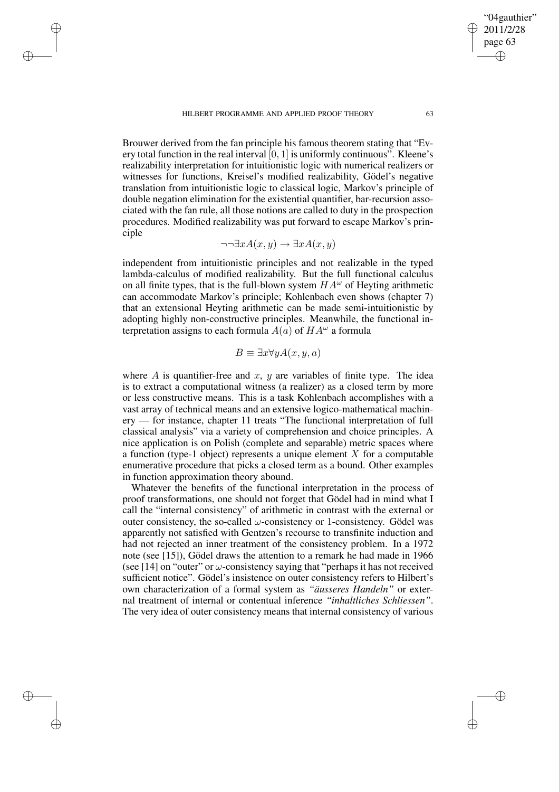✐

✐

✐

Brouwer derived from the fan principle his famous theorem stating that "Every total function in the real interval  $[0, 1]$  is uniformly continuous". Kleene's realizability interpretation for intuitionistic logic with numerical realizers or witnesses for functions, Kreisel's modified realizability, Gödel's negative translation from intuitionistic logic to classical logic, Markov's principle of double negation elimination for the existential quantifier, bar-recursion associated with the fan rule, all those notions are called to duty in the prospection procedures. Modified realizability was put forward to escape Markov's principle

$$
\neg\neg \exists x A(x, y) \rightarrow \exists x A(x, y)
$$

independent from intuitionistic principles and not realizable in the typed lambda-calculus of modified realizability. But the full functional calculus on all finite types, that is the full-blown system  $HA^{\omega}$  of Heyting arithmetic can accommodate Markov's principle; Kohlenbach even shows (chapter 7) that an extensional Heyting arithmetic can be made semi-intuitionistic by adopting highly non-constructive principles. Meanwhile, the functional interpretation assigns to each formula  $A(\hat{a})$  of  $HA^{\omega}$  a formula

$$
B \equiv \exists x \forall y A(x, y, a)
$$

where  $A$  is quantifier-free and  $x$ ,  $y$  are variables of finite type. The idea is to extract a computational witness (a realizer) as a closed term by more or less constructive means. This is a task Kohlenbach accomplishes with a vast array of technical means and an extensive logico-mathematical machinery — for instance, chapter 11 treats "The functional interpretation of full classical analysis" via a variety of comprehension and choice principles. A nice application is on Polish (complete and separable) metric spaces where a function (type-1 object) represents a unique element  $X$  for a computable enumerative procedure that picks a closed term as a bound. Other examples in function approximation theory abound.

Whatever the benefits of the functional interpretation in the process of proof transformations, one should not forget that Gödel had in mind what I call the "internal consistency" of arithmetic in contrast with the external or outer consistency, the so-called  $\omega$ -consistency or 1-consistency. Gödel was apparently not satisfied with Gentzen's recourse to transfinite induction and had not rejected an inner treatment of the consistency problem. In a 1972 note (see [15]), Gödel draws the attention to a remark he had made in 1966 (see [14] on "outer" or  $\omega$ -consistency saying that "perhaps it has not received sufficient notice". Gödel's insistence on outer consistency refers to Hilbert's own characterization of a formal system as *"äusseres Handeln"* or external treatment of internal or contentual inference *"inhaltliches Schliessen"*. The very idea of outer consistency means that internal consistency of various

"04gauthier" 2011/2/28 page 63

✐

✐

✐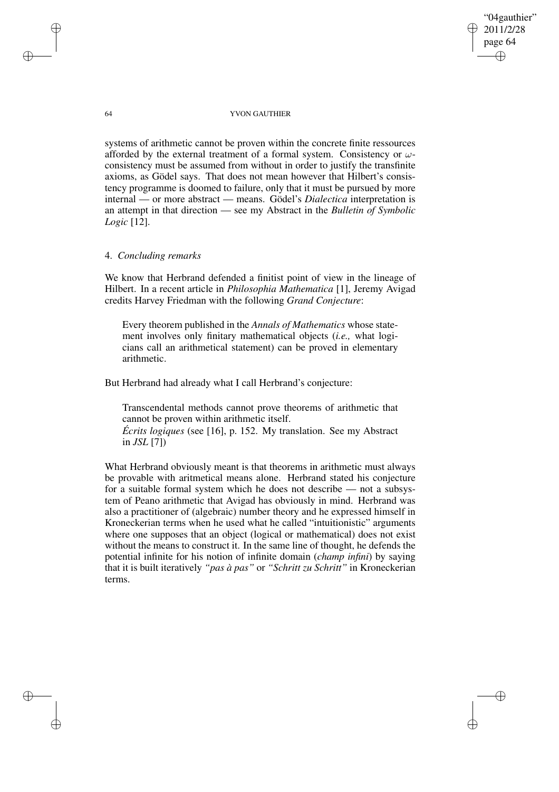✐

### 64 YVON GAUTHIER

systems of arithmetic cannot be proven within the concrete finite ressources afforded by the external treatment of a formal system. Consistency or  $\omega$ consistency must be assumed from without in order to justify the transfinite axioms, as Gödel says. That does not mean however that Hilbert's consistency programme is doomed to failure, only that it must be pursued by more internal — or more abstract — means. Gödel's *Dialectica* interpretation is an attempt in that direction — see my Abstract in the *Bulletin of Symbolic Logic* [12].

## 4. *Concluding remarks*

We know that Herbrand defended a finitist point of view in the lineage of Hilbert. In a recent article in *Philosophia Mathematica* [1], Jeremy Avigad credits Harvey Friedman with the following *Grand Conjecture*:

Every theorem published in the *Annals of Mathematics* whose statement involves only finitary mathematical objects (*i.e.,* what logicians call an arithmetical statement) can be proved in elementary arithmetic.

But Herbrand had already what I call Herbrand's conjecture:

Transcendental methods cannot prove theorems of arithmetic that cannot be proven within arithmetic itself.

*Écrits logiques* (see [16], p. 152. My translation. See my Abstract in *JSL* [7])

What Herbrand obviously meant is that theorems in arithmetic must always be provable with aritmetical means alone. Herbrand stated his conjecture for a suitable formal system which he does not describe — not a subsystem of Peano arithmetic that Avigad has obviously in mind. Herbrand was also a practitioner of (algebraic) number theory and he expressed himself in Kroneckerian terms when he used what he called "intuitionistic" arguments where one supposes that an object (logical or mathematical) does not exist without the means to construct it. In the same line of thought, he defends the potential infinite for his notion of infinite domain (*champ infini*) by saying that it is built iteratively *"pas à pas"* or *"Schritt zu Schritt"* in Kroneckerian terms.

✐

✐

✐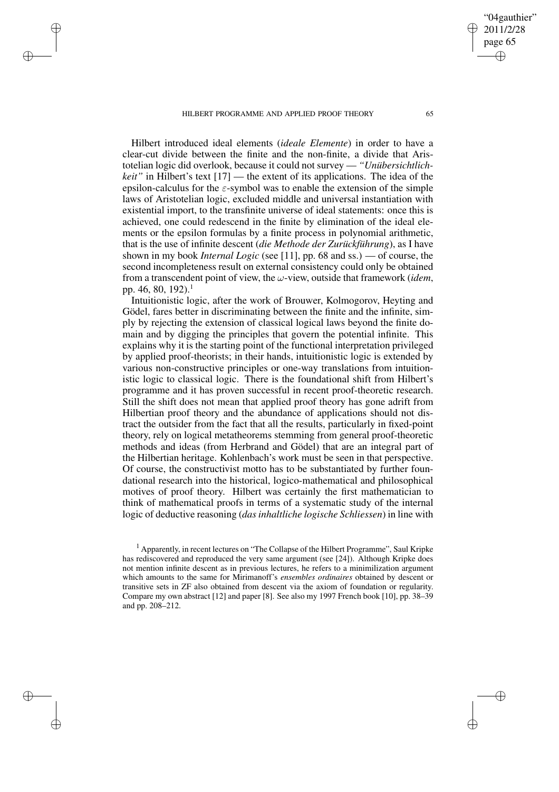HILBERT PROGRAMME AND APPLIED PROOF THEORY 65

✐

✐

✐

✐

Hilbert introduced ideal elements (*ideale Elemente*) in order to have a clear-cut divide between the finite and the non-finite, a divide that Aristotelian logic did overlook, because it could not survey — *"Unübersichtlichkeit*" in Hilbert's text [17] — the extent of its applications. The idea of the epsilon-calculus for the  $\varepsilon$ -symbol was to enable the extension of the simple laws of Aristotelian logic, excluded middle and universal instantiation with existential import, to the transfinite universe of ideal statements: once this is achieved, one could redescend in the finite by elimination of the ideal elements or the epsilon formulas by a finite process in polynomial arithmetic, that is the use of infinite descent (*die Methode der Zurückführung*), as I have shown in my book *Internal Logic* (see [11], pp. 68 and ss.) — of course, the second incompleteness result on external consistency could only be obtained from a transcendent point of view, the ω-view, outside that framework (*idem*, pp. 46, 80, 192).<sup>1</sup>

Intuitionistic logic, after the work of Brouwer, Kolmogorov, Heyting and Gödel, fares better in discriminating between the finite and the infinite, simply by rejecting the extension of classical logical laws beyond the finite domain and by digging the principles that govern the potential infinite. This explains why it is the starting point of the functional interpretation privileged by applied proof-theorists; in their hands, intuitionistic logic is extended by various non-constructive principles or one-way translations from intuitionistic logic to classical logic. There is the foundational shift from Hilbert's programme and it has proven successful in recent proof-theoretic research. Still the shift does not mean that applied proof theory has gone adrift from Hilbertian proof theory and the abundance of applications should not distract the outsider from the fact that all the results, particularly in fixed-point theory, rely on logical metatheorems stemming from general proof-theoretic methods and ideas (from Herbrand and Gödel) that are an integral part of the Hilbertian heritage. Kohlenbach's work must be seen in that perspective. Of course, the constructivist motto has to be substantiated by further foundational research into the historical, logico-mathematical and philosophical motives of proof theory. Hilbert was certainly the first mathematician to think of mathematical proofs in terms of a systematic study of the internal logic of deductive reasoning (*das inhaltliche logische Schliessen*) in line with

"04gauthier" 2011/2/28 page 65

✐

✐

✐

<sup>&</sup>lt;sup>1</sup> Apparently, in recent lectures on "The Collapse of the Hilbert Programme", Saul Kripke has rediscovered and reproduced the very same argument (see [24]). Although Kripke does not mention infinite descent as in previous lectures, he refers to a minimilization argument which amounts to the same for Mirimanoff's *ensembles ordinaires* obtained by descent or transitive sets in ZF also obtained from descent via the axiom of foundation or regularity. Compare my own abstract [12] and paper [8]. See also my 1997 French book [10], pp. 38–39 and pp. 208–212.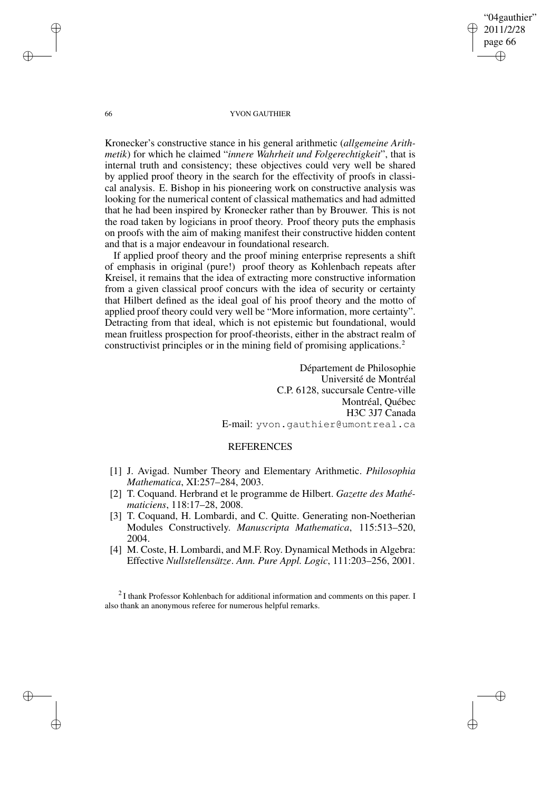"04gauthier" 2011/2/28 page 66 ✐ ✐

✐

✐

#### 66 YVON GAUTHIER

Kronecker's constructive stance in his general arithmetic (*allgemeine Arithmetik*) for which he claimed "*innere Wahrheit und Folgerechtigkeit*", that is internal truth and consistency; these objectives could very well be shared by applied proof theory in the search for the effectivity of proofs in classical analysis. E. Bishop in his pioneering work on constructive analysis was looking for the numerical content of classical mathematics and had admitted that he had been inspired by Kronecker rather than by Brouwer. This is not the road taken by logicians in proof theory. Proof theory puts the emphasis on proofs with the aim of making manifest their constructive hidden content and that is a major endeavour in foundational research.

If applied proof theory and the proof mining enterprise represents a shift of emphasis in original (pure!) proof theory as Kohlenbach repeats after Kreisel, it remains that the idea of extracting more constructive information from a given classical proof concurs with the idea of security or certainty that Hilbert defined as the ideal goal of his proof theory and the motto of applied proof theory could very well be "More information, more certainty". Detracting from that ideal, which is not epistemic but foundational, would mean fruitless prospection for proof-theorists, either in the abstract realm of constructivist principles or in the mining field of promising applications.<sup>2</sup>

> Département de Philosophie Université de Montréal C.P. 6128, succursale Centre-ville Montréal, Québec H3C 3J7 Canada E-mail: yvon.gauthier@umontreal.ca

## REFERENCES

- [1] J. Avigad. Number Theory and Elementary Arithmetic. *Philosophia Mathematica*, XI:257–284, 2003.
- [2] T. Coquand. Herbrand et le programme de Hilbert. *Gazette des Mathématiciens*, 118:17–28, 2008.
- [3] T. Coquand, H. Lombardi, and C. Quitte. Generating non-Noetherian Modules Constructively. *Manuscripta Mathematica*, 115:513–520, 2004.
- [4] M. Coste, H. Lombardi, and M.F. Roy. Dynamical Methods in Algebra: Effective *Nullstellensätze*. *Ann. Pure Appl. Logic*, 111:203–256, 2001.

 $2$ I thank Professor Kohlenbach for additional information and comments on this paper. I also thank an anonymous referee for numerous helpful remarks.

✐

✐

✐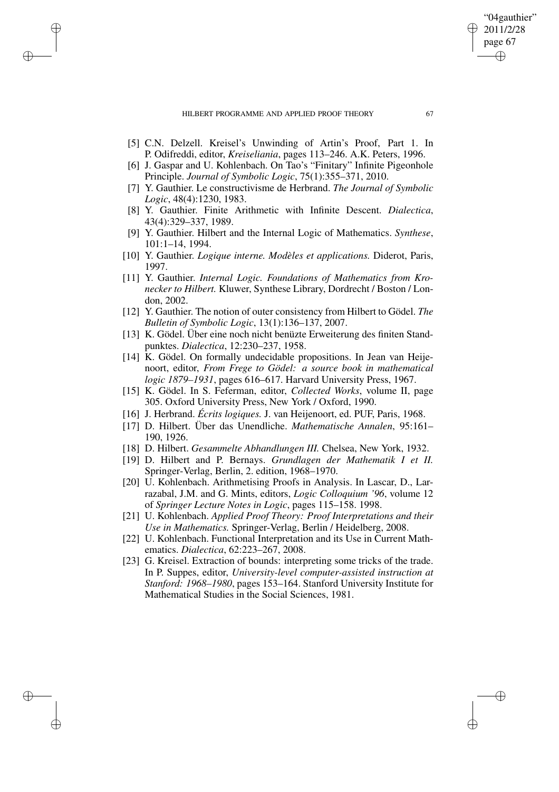✐

✐

✐

- [5] C.N. Delzell. Kreisel's Unwinding of Artin's Proof, Part 1. In P. Odifreddi, editor, *Kreiseliania*, pages 113–246. A.K. Peters, 1996.
- [6] J. Gaspar and U. Kohlenbach. On Tao's "Finitary" Infinite Pigeonhole Principle. *Journal of Symbolic Logic*, 75(1):355–371, 2010.
- [7] Y. Gauthier. Le constructivisme de Herbrand. *The Journal of Symbolic Logic*, 48(4):1230, 1983.
- [8] Y. Gauthier. Finite Arithmetic with Infinite Descent. *Dialectica*, 43(4):329–337, 1989.
- [9] Y. Gauthier. Hilbert and the Internal Logic of Mathematics. *Synthese*, 101:1–14, 1994.
- [10] Y. Gauthier. *Logique interne. Modèles et applications.* Diderot, Paris, 1997.
- [11] Y. Gauthier. *Internal Logic. Foundations of Mathematics from Kronecker to Hilbert.* Kluwer, Synthese Library, Dordrecht / Boston / London, 2002.
- [12] Y. Gauthier. The notion of outer consistency from Hilbert to Gödel. *The Bulletin of Symbolic Logic*, 13(1):136–137, 2007.
- [13] K. Gödel. Über eine noch nicht benüzte Erweiterung des finiten Standpunktes. *Dialectica*, 12:230–237, 1958.
- [14] K. Gödel. On formally undecidable propositions. In Jean van Heijenoort, editor, *From Frege to Gödel: a source book in mathematical logic 1879–1931*, pages 616–617. Harvard University Press, 1967.
- [15] K. Gödel. In S. Feferman, editor, *Collected Works*, volume II, page 305. Oxford University Press, New York / Oxford, 1990.
- [16] J. Herbrand. *Écrits logiques.* J. van Heijenoort, ed. PUF, Paris, 1968.
- [17] D. Hilbert. Über das Unendliche. *Mathematische Annalen*, 95:161– 190, 1926.
- [18] D. Hilbert. *Gesammelte Abhandlungen III.* Chelsea, New York, 1932.
- [19] D. Hilbert and P. Bernays. *Grundlagen der Mathematik I et II.* Springer-Verlag, Berlin, 2. edition, 1968–1970.
- [20] U. Kohlenbach. Arithmetising Proofs in Analysis. In Lascar, D., Larrazabal, J.M. and G. Mints, editors, *Logic Colloquium '96*, volume 12 of *Springer Lecture Notes in Logic*, pages 115–158. 1998.
- [21] U. Kohlenbach. *Applied Proof Theory: Proof Interpretations and their Use in Mathematics.* Springer-Verlag, Berlin / Heidelberg, 2008.
- [22] U. Kohlenbach. Functional Interpretation and its Use in Current Mathematics. *Dialectica*, 62:223–267, 2008.
- [23] G. Kreisel. Extraction of bounds: interpreting some tricks of the trade. In P. Suppes, editor, *University-level computer-assisted instruction at Stanford: 1968–1980*, pages 153–164. Stanford University Institute for Mathematical Studies in the Social Sciences, 1981.

"04gauthier" 2011/2/28 page 67

✐

✐

✐